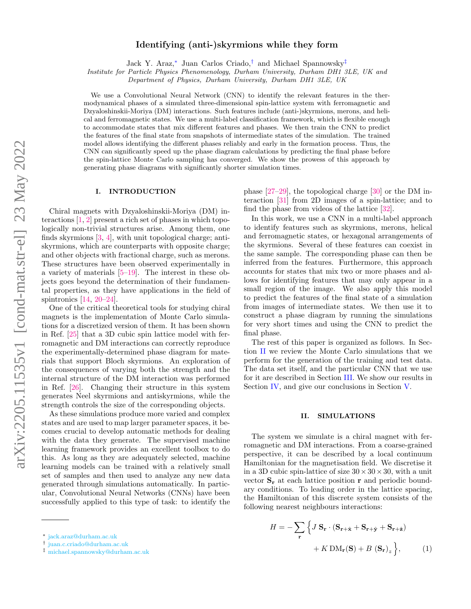# Identifying (anti-)skyrmions while they form

Jack Y. Araz,[∗](#page-0-0) Juan Carlos Criado,[†](#page-0-1) and Michael Spannowsky[‡](#page-0-2)

Institute for Particle Physics Phenomenology, Durham University, Durham DH1 3LE, UK and

Department of Physics, Durham University, Durham DH1 3LE, UK

We use a Convolutional Neural Network (CNN) to identify the relevant features in the thermodynamical phases of a simulated three-dimensional spin-lattice system with ferromagnetic and Dzyaloshinskii-Moriya (DM) interactions. Such features include (anti-)skyrmions, merons, and helical and ferromagnetic states. We use a multi-label classification framework, which is flexible enough to accommodate states that mix different features and phases. We then train the CNN to predict the features of the final state from snapshots of intermediate states of the simulation. The trained model allows identifying the different phases reliably and early in the formation process. Thus, the CNN can significantly speed up the phase diagram calculations by predicting the final phase before the spin-lattice Monte Carlo sampling has converged. We show the prowess of this approach by generating phase diagrams with significantly shorter simulation times.

#### I. INTRODUCTION

Chiral magnets with Dzyaloshinskii-Moriya (DM) interactions  $[1, 2]$  $[1, 2]$  $[1, 2]$  present a rich set of phases in which topologically non-trivial structures arise. Among them, one finds skyrmions [\[3,](#page-5-2) [4\]](#page-5-3), with unit topological charge; antiskyrmions, which are counterparts with opposite charge; and other objects with fractional charge, such as merons. These structures have been observed experimentally in a variety of materials [\[5–](#page-5-4)[19\]](#page-6-0). The interest in these objects goes beyond the determination of their fundamental properties, as they have applications in the field of spintronics [\[14,](#page-6-1) [20–](#page-6-2)[24\]](#page-6-3).

One of the critical theoretical tools for studying chiral magnets is the implementation of Monte Carlo simulations for a discretized version of them. It has been shown in Ref. [\[25\]](#page-6-4) that a 3D cubic spin lattice model with ferromagnetic and DM interactions can correctly reproduce the experimentally-determined phase diagram for materials that support Bloch skyrmions. An exploration of the consequences of varying both the strength and the internal structure of the DM interaction was performed in Ref. [\[26\]](#page-6-5). Changing their structure in this system generates Neel skyrmions and antiskyrmions, while the strength controls the size of the corresponding objects.

As these simulations produce more varied and complex states and are used to map larger parameter spaces, it becomes crucial to develop automatic methods for dealing with the data they generate. The supervised machine learning framework provides an excellent toolbox to do this. As long as they are adequately selected, machine learning models can be trained with a relatively small set of samples and then used to analyze any new data generated through simulations automatically. In particular, Convolutional Neural Networks (CNNs) have been successfully applied to this type of task: to identify the phase [\[27–](#page-6-6)[29\]](#page-6-7), the topological charge [\[30\]](#page-6-8) or the DM interaction [\[31\]](#page-6-9) from 2D images of a spin-lattice; and to find the phase from videos of the lattice [\[32\]](#page-6-10).

In this work, we use a CNN in a multi-label approach to identify features such as skyrmions, merons, helical and ferromagnetic states, or hexagonal arrangements of the skyrmions. Several of these features can coexist in the same sample. The corresponding phase can then be inferred from the features. Furthermore, this approach accounts for states that mix two or more phases and allows for identifying features that may only appear in a small region of the image. We also apply this model to predict the features of the final state of a simulation from images of intermediate states. We then use it to construct a phase diagram by running the simulations for very short times and using the CNN to predict the final phase.

The rest of this paper is organized as follows. In Section [II](#page-0-3) we review the Monte Carlo simulations that we perform for the generation of the training and test data. The data set itself, and the particular CNN that we use for it are described in Section [III.](#page-1-0) We show our results in Section [IV,](#page-2-0) and give our conclusions in Section [V.](#page-4-0)

## <span id="page-0-3"></span>II. SIMULATIONS

The system we simulate is a chiral magnet with ferromagnetic and DM interactions. From a coarse-grained perspective, it can be described by a local continuum Hamiltonian for the magnetisation field. We discretise it in a 3D cubic spin-lattice of size  $30 \times 30 \times 30$ , with a unit vector  $S_r$  at each lattice position r and periodic boundary conditions. To leading order in the lattice spacing, the Hamiltonian of this discrete system consists of the following nearest neighbours interactions:

<span id="page-0-4"></span>
$$
H = -\sum_{\mathbf{r}} \left\{ J \mathbf{S}_{\mathbf{r}} \cdot (\mathbf{S}_{\mathbf{r}+\hat{\mathbf{x}}} + \mathbf{S}_{\mathbf{r}+\hat{\mathbf{y}}} + \mathbf{S}_{\mathbf{r}+\hat{\mathbf{z}}}) + K \text{DM}_{\mathbf{r}}(\mathbf{S}) + B \left( \mathbf{S}_{\mathbf{r}} \right)_{z} \right\},\tag{1}
$$

<span id="page-0-0"></span><sup>∗</sup> [jack.araz@durham.ac.uk](mailto:jack.araz@durham.ac.uk)

<span id="page-0-1"></span><sup>†</sup> [juan.c.criado@durham.ac.uk](mailto:juan.c.criado@durham.ac.uk)

<span id="page-0-2"></span><sup>‡</sup> [michael.spannowsky@durham.ac.uk](mailto:michael.spannowsky@durham.ac.uk)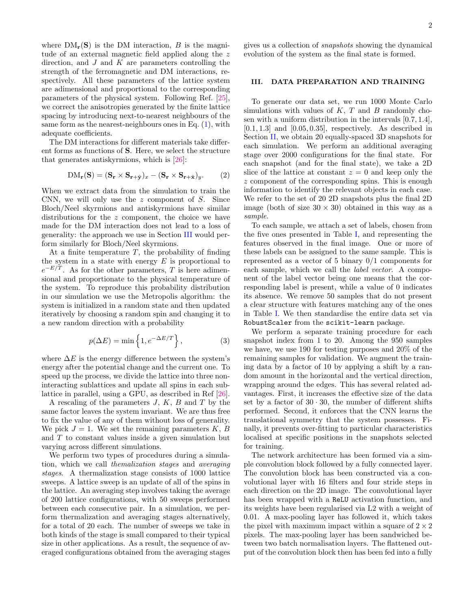2

where  $DM_r(S)$  is the DM interaction, B is the magnitude of an external magnetic field applied along the z direction, and  $J$  and  $K$  are parameters controlling the strength of the ferromagnetic and DM interactions, respectively. All these parameters of the lattice system are adimensional and proportional to the corresponding parameters of the physical system. Following Ref. [\[25\]](#page-6-4), we correct the anisotropies generated by the finite lattice spacing by introducing next-to-nearest neighbours of the same form as the nearest-neighbours ones in Eq.  $(1)$ , with adequate coefficients.

The DM interactions for different materials take different forms as functions of S. Here, we select the structure that generates antiskyrmions, which is [\[26\]](#page-6-5):

$$
DM_{\mathbf{r}}(\mathbf{S}) = (\mathbf{S}_{\mathbf{r}} \times \mathbf{S}_{\mathbf{r}+\hat{\mathbf{y}}})_{x} - (\mathbf{S}_{\mathbf{r}} \times \mathbf{S}_{\mathbf{r}+\hat{\mathbf{x}}})_{y}. \tag{2}
$$

When we extract data from the simulation to train the CNN, we will only use the  $z$  component of  $S$ . Since Bloch/Neel skyrmions and antiskyrmions have similar distributions for the z component, the choice we have made for the DM interaction does not lead to a loss of generality: the approach we use in Section [III](#page-1-0) would perform similarly for Bloch/Neel skyrmions.

At a finite temperature  $T$ , the probability of finding the system in a state with energy  $E$  is proportional to  $e^{-E/T}$ . As for the other parameters, T is here adimensional and proportionate to the physical temperature of the system. To reproduce this probability distribution in our simulation we use the Metropolis algorithm: the system is initialized in a random state and then updated iteratively by choosing a random spin and changing it to a new random direction with a probability

$$
p(\Delta E) = \min\left\{1, e^{-\Delta E/T}\right\},\qquad(3)
$$

where  $\Delta E$  is the energy difference between the system's energy after the potential change and the current one. To speed up the process, we divide the lattice into three noninteracting sublattices and update all spins in each sublattice in parallel, using a GPU, as described in Ref [\[26\]](#page-6-5).

A rescaling of the parameters  $J, K, B$  and  $T$  by the same factor leaves the system invariant. We are thus free to fix the value of any of them without loss of generality. We pick  $J = 1$ . We set the remaining parameters K, B and T to constant values inside a given simulation but varying across different simulations.

We perform two types of procedures during a simulation, which we call themalization stages and averaging stages. A thermalization stage consists of 1000 lattice sweeps. A lattice sweep is an update of all of the spins in the lattice. An averaging step involves taking the average of 200 lattice configurations, with 50 sweeps performed between each consecutive pair. In a simulation, we perform thermalization and averaging stages alternatively, for a total of 20 each. The number of sweeps we take in both kinds of the stage is small compared to their typical size in other applications. As a result, the sequence of averaged configurations obtained from the averaging stages

gives us a collection of snapshots showing the dynamical evolution of the system as the final state is formed.

### <span id="page-1-0"></span>III. DATA PREPARATION AND TRAINING

To generate our data set, we run 1000 Monte Carlo simulations with values of  $K$ ,  $T$  and  $B$  randomly chosen with a uniform distribution in the intervals [0.7, 1.4],  $[0.1, 1.3]$  and  $[0.05, 0.35]$ , respectively. As described in Section [II,](#page-0-3) we obtain 20 equally-spaced 3D snapshots for each simulation. We perform an additional averaging stage over 2000 configurations for the final state. For each snapshot (and for the final state), we take a 2D slice of the lattice at constant  $z = 0$  and keep only the z component of the corresponding spins. This is enough information to identify the relevant objects in each case. We refer to the set of 20 2D snapshots plus the final 2D image (both of size  $30 \times 30$ ) obtained in this way as a sample.

To each sample, we attach a set of labels, chosen from the five ones presented in Table [I,](#page-3-0) and representing the features observed in the final image. One or more of these labels can be assigned to the same sample. This is represented as a vector of 5 binary 0/1 components for each sample, which we call the label vector. A component of the label vector being one means that the corresponding label is present, while a value of 0 indicates its absence. We remove 50 samples that do not present a clear structure with features matching any of the ones in Table [I.](#page-3-0) We then standardise the entire data set via RobustScaler from the scikit-learn package.

We perform a separate training procedure for each snapshot index from 1 to 20. Among the 950 samples we have, we use 190 for testing purposes and 20% of the remaining samples for validation. We augment the training data by a factor of 10 by applying a shift by a random amount in the horizontal and the vertical direction, wrapping around the edges. This has several related advantages. First, it increases the effective size of the data set by a factor of  $30 \cdot 30$ , the number of different shifts performed. Second, it enforces that the CNN learns the translational symmetry that the system possesses. Finally, it prevents over-fitting to particular characteristics localised at specific positions in the snapshots selected for training.

The network architecture has been formed via a simple convolution block followed by a fully connected layer. The convolution block has been constructed via a convolutional layer with 16 filters and four stride steps in each direction on the 2D image. The convolutional layer has been wrapped with a ReLU activation function, and its weights have been regularised via L2 with a weight of 0.01. A max-pooling layer has followed it, which takes the pixel with maximum impact within a square of  $2 \times 2$ pixels. The max-pooling layer has been sandwiched between two batch normalisation layers. The flattened output of the convolution block then has been fed into a fully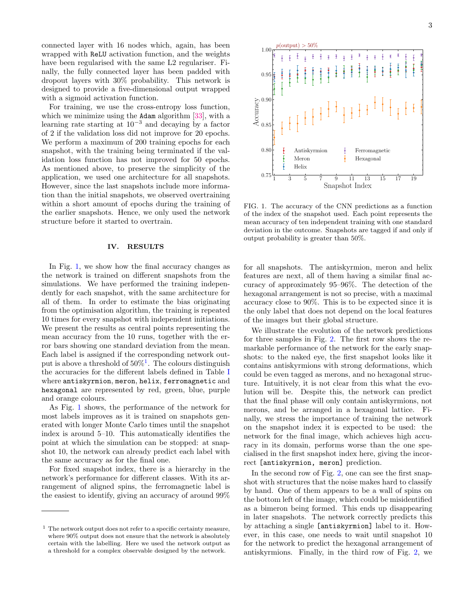connected layer with 16 nodes which, again, has been wrapped with ReLU activation function, and the weights have been regularised with the same L2 regulariser. Finally, the fully connected layer has been padded with dropout layers with 30% probability. This network is designed to provide a five-dimensional output wrapped with a sigmoid activation function.

For training, we use the cross-entropy loss function, which we minimize using the Adam algorithm [\[33\]](#page-6-11), with a learning rate starting at  $10^{-3}$  and decaying by a factor of 2 if the validation loss did not improve for 20 epochs. We perform a maximum of 200 training epochs for each snapshot, with the training being terminated if the validation loss function has not improved for 50 epochs. As mentioned above, to preserve the simplicity of the application, we used one architecture for all snapshots. However, since the last snapshots include more information than the initial snapshots, we observed overtraining within a short amount of epochs during the training of the earlier snapshots. Hence, we only used the network structure before it started to overtrain.

#### <span id="page-2-0"></span>IV. RESULTS

In Fig. [1,](#page-2-1) we show how the final accuracy changes as the network is trained on different snapshots from the simulations. We have performed the training independently for each snapshot, with the same architecture for all of them. In order to estimate the bias originating from the optimisation algorithm, the training is repeated 10 times for every snapshot with independent initiations. We present the results as central points representing the mean accuracy from the 10 runs, together with the error bars showing one standard deviation from the mean. Each label is assigned if the corresponding network output is above a threshold of  $50\%$ <sup>[1](#page-2-2)</sup>. The colours distinguish the accuracies for the different labels defined in Table [I](#page-3-0) where antiskyrmion, meron, helix, ferromagnetic and hexagonal are represented by red, green, blue, purple and orange colours.

As Fig. [1](#page-2-1) shows, the performance of the network for most labels improves as it is trained on snapshots generated with longer Monte Carlo times until the snapshot index is around 5–10. This automatically identifies the point at which the simulation can be stopped: at snapshot 10, the network can already predict each label with the same accuracy as for the final one.

For fixed snapshot index, there is a hierarchy in the network's performance for different classes. With its arrangement of aligned spins, the ferromagnetic label is the easiest to identify, giving an accuracy of around 99%



<span id="page-2-1"></span>FIG. 1. The accuracy of the CNN predictions as a function of the index of the snapshot used. Each point represents the mean accuracy of ten independent training with one standard deviation in the outcome. Snapshots are tagged if and only if output probability is greater than 50%.

for all snapshots. The antiskyrmion, meron and helix features are next, all of them having a similar final accuracy of approximately 95–96%. The detection of the hexagonal arrangement is not so precise, with a maximal accuracy close to 90%. This is to be expected since it is the only label that does not depend on the local features of the images but their global structure.

We illustrate the evolution of the network predictions for three samples in Fig. [2.](#page-4-1) The first row shows the remarkable performance of the network for the early snapshots: to the naked eye, the first snapshot looks like it contains antiskyrmions with strong deformations, which could be even tagged as merons, and no hexagonal structure. Intuitively, it is not clear from this what the evolution will be. Despite this, the network can predict that the final phase will only contain antiskyrmions, not merons, and be arranged in a hexagonal lattice. Finally, we stress the importance of training the network on the snapshot index it is expected to be used: the network for the final image, which achieves high accuracy in its domain, performs worse than the one specialised in the first snapshot index here, giving the incorrect [antiskyrmion, meron] prediction.

In the second row of Fig. [2,](#page-4-1) one can see the first snapshot with structures that the noise makes hard to classify by hand. One of them appears to be a wall of spins on the bottom left of the image, which could be misidentified as a bimeron being formed. This ends up disappearing in later snapshots. The network correctly predicts this by attaching a single [antiskyrmion] label to it. However, in this case, one needs to wait until snapshot 10 for the network to predict the hexagonal arrangement of antiskyrmions. Finally, in the third row of Fig. [2,](#page-4-1) we

<span id="page-2-2"></span> $1$  The network output does not refer to a specific certainty measure, where 90% output does not ensure that the network is absolutely certain with the labelling. Here we used the network output as a threshold for a complex observable designed by the network.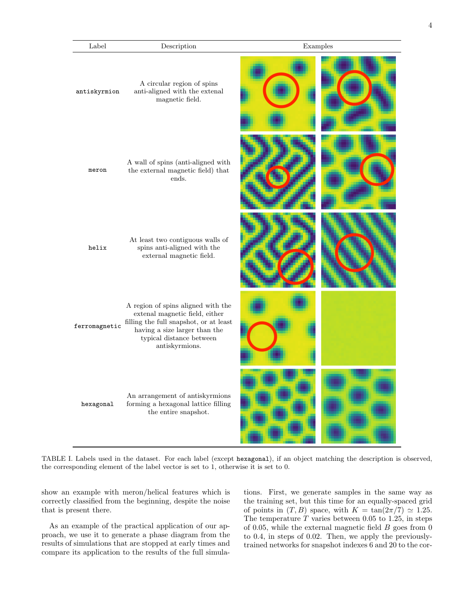| Label         | Description                                                                                                                                                                                   | Examples |  |
|---------------|-----------------------------------------------------------------------------------------------------------------------------------------------------------------------------------------------|----------|--|
| antiskyrmion  | A circular region of spins<br>anti-aligned with the extenal<br>magnetic field.                                                                                                                |          |  |
| meron         | A wall of spins (anti-aligned with<br>the external magnetic field) that<br>ends.                                                                                                              |          |  |
| helix         | At least two contiguous walls of<br>spins anti-aligned with the<br>external magnetic field.                                                                                                   |          |  |
| ferromagnetic | A region of spins aligned with the<br>extenal magnetic field, either<br>filling the full snapshot, or at least<br>having a size larger than the<br>typical distance between<br>antiskyrmions. |          |  |
| hexagonal     | An arrangement of antiskyrmions<br>forming a hexagonal lattice filling<br>the entire snapshot.                                                                                                |          |  |

<span id="page-3-0"></span>TABLE I. Labels used in the dataset. For each label (except hexagonal), if an object matching the description is observed, the corresponding element of the label vector is set to 1, otherwise it is set to 0.

show an example with meron/helical features which is correctly classified from the beginning, despite the noise that is present there.

As an example of the practical application of our approach, we use it to generate a phase diagram from the results of simulations that are stopped at early times and compare its application to the results of the full simulations. First, we generate samples in the same way as the training set, but this time for an equally-spaced grid of points in  $(T, B)$  space, with  $K = \tan(2\pi/7) \simeq 1.25$ . The temperature  $T$  varies between 0.05 to 1.25, in steps of 0.05, while the external magnetic field  $B$  goes from 0 to 0.4, in steps of 0.02. Then, we apply the previouslytrained networks for snapshot indexes 6 and 20 to the cor-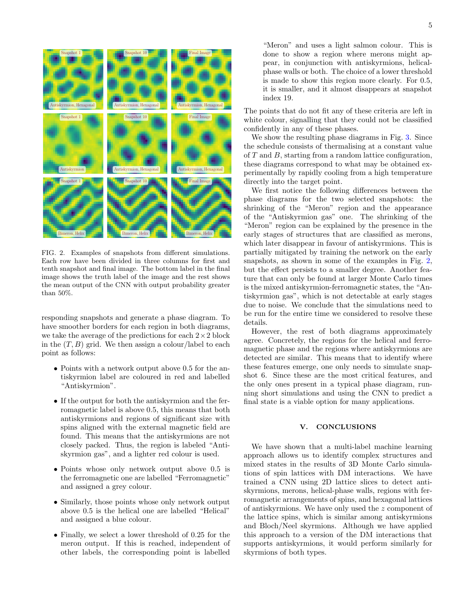

<span id="page-4-1"></span>FIG. 2. Examples of snapshots from different simulations. Each row have been divided in three columns for first and tenth snapshot and final image. The bottom label in the final image shows the truth label of the image and the rest shows the mean output of the CNN with output probability greater than 50%.

responding snapshots and generate a phase diagram. To have smoother borders for each region in both diagrams, we take the average of the predictions for each  $2 \times 2$  block in the  $(T, B)$  grid. We then assign a colour/label to each point as follows:

- Points with a network output above 0.5 for the antiskyrmion label are coloured in red and labelled "Antiskyrmion".
- If the output for both the antiskyrmion and the ferromagnetic label is above 0.5, this means that both antiskyrmions and regions of significant size with spins aligned with the external magnetic field are found. This means that the antiskyrmions are not closely packed. Thus, the region is labeled "Antiskyrmion gas", and a lighter red colour is used.
- Points whose only network output above 0.5 is the ferromagnetic one are labelled "Ferromagnetic" and assigned a grey colour.
- Similarly, those points whose only network output above 0.5 is the helical one are labelled "Helical" and assigned a blue colour.
- Finally, we select a lower threshold of 0.25 for the meron output. If this is reached, independent of other labels, the corresponding point is labelled

"Meron" and uses a light salmon colour. This is done to show a region where merons might appear, in conjunction with antiskyrmions, helicalphase walls or both. The choice of a lower threshold is made to show this region more clearly. For 0.5, it is smaller, and it almost disappears at snapshot index 19.

The points that do not fit any of these criteria are left in white colour, signalling that they could not be classified confidently in any of these phases.

We show the resulting phase diagrams in Fig. [3.](#page-5-5) Since the schedule consists of thermalising at a constant value of T and B, starting from a random lattice configuration, these diagrams correspond to what may be obtained experimentally by rapidly cooling from a high temperature directly into the target point.

We first notice the following differences between the phase diagrams for the two selected snapshots: the shrinking of the "Meron" region and the appearance of the "Antiskyrmion gas" one. The shrinking of the "Meron" region can be explained by the presence in the early stages of structures that are classified as merons, which later disappear in favour of antiskyrmions. This is partially mitigated by training the network on the early snapshots, as shown in some of the examples in Fig. [2,](#page-4-1) but the effect persists to a smaller degree. Another feature that can only be found at larger Monte Carlo times is the mixed antiskyrmion-ferromagnetic states, the "Antiskyrmion gas", which is not detectable at early stages due to noise. We conclude that the simulations need to be run for the entire time we considered to resolve these details.

However, the rest of both diagrams approximately agree. Concretely, the regions for the helical and ferromagnetic phase and the regions where antiskyrmions are detected are similar. This means that to identify where these features emerge, one only needs to simulate snapshot 6. Since these are the most critical features, and the only ones present in a typical phase diagram, running short simulations and using the CNN to predict a final state is a viable option for many applications.

## <span id="page-4-0"></span>V. CONCLUSIONS

We have shown that a multi-label machine learning approach allows us to identify complex structures and mixed states in the results of 3D Monte Carlo simulations of spin lattices with DM interactions. We have trained a CNN using 2D lattice slices to detect antiskyrmions, merons, helical-phase walls, regions with ferromagnetic arrangements of spins, and hexagonal lattices of antiskyrmions. We have only used the z component of the lattice spins, which is similar among antiskyrmions and Bloch/Neel skyrmions. Although we have applied this approach to a version of the DM interactions that supports antiskyrmions, it would perform similarly for skyrmions of both types.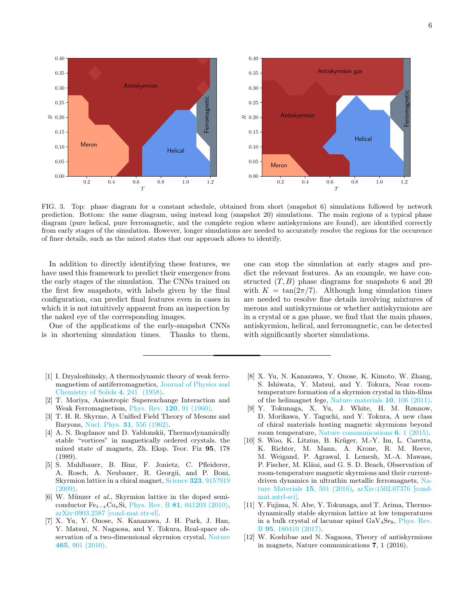

<span id="page-5-5"></span>FIG. 3. Top: phase diagram for a constant schedule, obtained from short (snapshot 6) simulations followed by network prediction. Bottom: the same diagram, using instead long (snapshot 20) simulations. The main regions of a typical phase diagram (pure helical, pure ferromagnetic, and the complete region where antiskyrmions are found), are identified correctly from early stages of the simulation. However, longer simulations are needed to accurately resolve the regions for the occurence of finer details, such as the mixed states that our approach allows to identify.

In addition to directly identifying these features, we have used this framework to predict their emergence from the early stages of the simulation. The CNNs trained on the first few snapshots, with labels given by the final configuration, can predict final features even in cases in which it is not intuitively apparent from an inspection by the naked eye of the corresponding images.

One of the applications of the early-snapshot CNNs is in shortening simulation times. Thanks to them,

- <span id="page-5-0"></span>[1] I. Dzyaloshinsky, A thermodynamic theory of weak ferromagnetism of antiferromagnetics, [Journal of Physics and](https://doi.org/https://doi.org/10.1016/0022-3697(58)90076-3) [Chemistry of Solids](https://doi.org/https://doi.org/10.1016/0022-3697(58)90076-3) 4, 241 (1958).
- <span id="page-5-1"></span>[2] T. Moriya, Anisotropic Superexchange Interaction and Weak Ferromagnetism, Phys. Rev. 120[, 91 \(1960\).](https://doi.org/10.1103/PhysRev.120.91)
- <span id="page-5-2"></span>[3] T. H. R. Skyrme, A Unified Field Theory of Mesons and Baryons, Nucl. Phys. 31[, 556 \(1962\).](https://doi.org/10.1016/0029-5582(62)90775-7)
- <span id="page-5-3"></span>[4] A. N. Bogdanov and D. Yablonskii, Thermodynamically stable "vortices" in magnetically ordered crystals. the mixed state of magnets, Zh. Eksp. Teor. Fiz 95, 178 (1989).
- <span id="page-5-4"></span>[5] S. Muhlbauer, B. Binz, F. Jonietz, C. Pfleiderer, A. Rosch, A. Neubauer, R. Georgii, and P. Boni, Skyrmion lattice in a chiral magnet, Science 323[, 915?919](https://doi.org/10.1126/science.1166767) [\(2009\).](https://doi.org/10.1126/science.1166767)
- [6] W. Münzer *et al.*, Skyrmion lattice in the doped semiconductor  $Fe_{1-x}Co_xSi$ , Phys. Rev. B 81[, 041203 \(2010\),](https://doi.org/10.1103/PhysRevB.81.041203) [arXiv:0903.2587 \[cond-mat.str-el\].](https://arxiv.org/abs/0903.2587)
- [7] X. Yu, Y. Onose, N. Kanazawa, J. H. Park, J. Han, Y. Matsui, N. Nagaosa, and Y. Tokura, Real-space observation of a two-dimensional skyrmion crystal, [Nature](https://doi.org/10.1038/nature09124) 465[, 901 \(2010\).](https://doi.org/10.1038/nature09124)

one can stop the simulation at early stages and predict the relevant features. As an example, we have constructed  $(T, B)$  phase diagrams for snapshots 6 and 20 with  $K = \tan(2\pi/7)$ . Although long simulation times are needed to resolve fine details involving mixtures of merons and antiskyrmions or whether antiskyrmions are in a crystal or a gas phase, we find that the main phases, antiskyrmion, helical, and ferromagnetic, can be detected with significantly shorter simulations.

- [8] X. Yu, N. Kanazawa, Y. Onose, K. Kimoto, W. Zhang, S. Ishiwata, Y. Matsui, and Y. Tokura, Near roomtemperature formation of a skyrmion crystal in thin-films of the helimagnet fege, [Nature materials](https://doi.org/10.1038/nmat2916) 10, 106 (2011).
- [9] Y. Tokunaga, X. Yu, J. White, H. M. Rønnow, D. Morikawa, Y. Taguchi, and Y. Tokura, A new class of chiral materials hosting magnetic skyrmions beyond room temperature, [Nature communications](https://doi.org/10.1038/ncomms8638) 6, 1 (2015).
- [10] S. Woo, K. Litzius, B. Krüger, M.-Y. Im, L. Caretta, K. Richter, M. Mann, A. Krone, R. M. Reeve, M. Weigand, P. Agrawal, I. Lemesh, M.-A. Mawass, P. Fischer, M. Kläui, and G. S. D. Beach, Observation of room-temperature magnetic skyrmions and their currentdriven dynamics in ultrathin metallic ferromagnets, [Na](https://doi.org/10.1038/nmat4593)[ture Materials](https://doi.org/10.1038/nmat4593) 15, 501 (2016), [arXiv:1502.07376 \[cond](https://arxiv.org/abs/1502.07376)[mat.mtrl-sci\].](https://arxiv.org/abs/1502.07376)
- [11] Y. Fujima, N. Abe, Y. Tokunaga, and T. Arima, Thermodynamically stable skyrmion lattice at low temperatures in a bulk crystal of lacunar spinel  $GaV_4Se_8$ , [Phys. Rev.](https://doi.org/10.1103/PhysRevB.95.180410) B 95[, 180410 \(2017\).](https://doi.org/10.1103/PhysRevB.95.180410)
- [12] W. Koshibae and N. Nagaosa, Theory of antiskyrmions in magnets, Nature communications 7, 1 (2016).